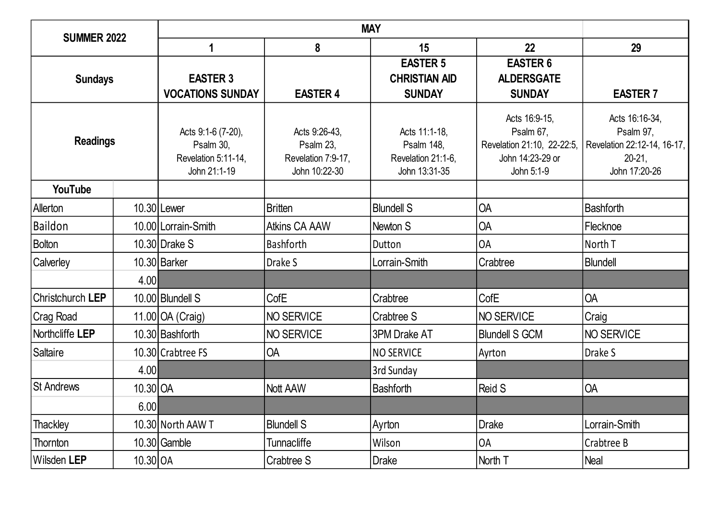| <b>SUMMER 2022</b> |            |                                                                        |                                                                   |                                                                           |                                                                                            |                                                                                          |
|--------------------|------------|------------------------------------------------------------------------|-------------------------------------------------------------------|---------------------------------------------------------------------------|--------------------------------------------------------------------------------------------|------------------------------------------------------------------------------------------|
|                    |            | 1                                                                      | 8                                                                 | 15                                                                        | 22                                                                                         | 29                                                                                       |
| <b>Sundays</b>     |            | <b>EASTER 3</b><br><b>VOCATIONS SUNDAY</b>                             | <b>EASTER 4</b>                                                   | <b>EASTER 5</b><br><b>CHRISTIAN AID</b><br><b>SUNDAY</b>                  | <b>EASTER 6</b><br><b>ALDERSGATE</b><br><b>SUNDAY</b>                                      | <b>EASTER 7</b>                                                                          |
| <b>Readings</b>    |            | Acts 9:1-6 (7-20),<br>Psalm 30,<br>Revelation 5:11-14,<br>John 21:1-19 | Acts 9:26-43,<br>Psalm 23,<br>Revelation 7:9-17,<br>John 10:22-30 | Acts 11:1-18.<br><b>Psalm 148,</b><br>Revelation 21:1-6,<br>John 13:31-35 | Acts 16:9-15,<br>Psalm 67,<br>Revelation 21:10, 22-22:5,<br>John 14:23-29 or<br>John 5:1-9 | Acts 16:16-34,<br>Psalm 97,<br>Revelation 22:12-14, 16-17,<br>$20-21$ ,<br>John 17:20-26 |
| YouTube            |            |                                                                        |                                                                   |                                                                           |                                                                                            |                                                                                          |
| Allerton           |            | 10.30 Lewer                                                            | <b>Britten</b>                                                    | <b>Blundell S</b>                                                         | <b>OA</b>                                                                                  | Bashforth                                                                                |
| Baildon            |            | 10.00 Lorrain-Smith                                                    | <b>Atkins CA AAW</b>                                              | Newton S                                                                  | <b>OA</b>                                                                                  | Flecknoe                                                                                 |
| <b>Bolton</b>      |            | 10.30 Drake S                                                          | <b>Bashforth</b>                                                  | Dutton                                                                    | <b>OA</b>                                                                                  | North T                                                                                  |
| <b>Calverley</b>   |            | 10.30 Barker                                                           | Drake S                                                           | Lorrain-Smith                                                             | Crabtree                                                                                   | Blundell                                                                                 |
|                    | 4.00       |                                                                        |                                                                   |                                                                           |                                                                                            |                                                                                          |
| Christchurch LEP   |            | 10.00 Blundell S                                                       | <b>CofE</b>                                                       | Crabtree                                                                  | CofE                                                                                       | <b>OA</b>                                                                                |
| Crag Road          |            | 11.00 OA (Craig)                                                       | NO SERVICE                                                        | Crabtree S                                                                | NO SERVICE                                                                                 | Craig                                                                                    |
| Northcliffe LEP    |            | 10.30 Bashforth                                                        | NO SERVICE                                                        | 3PM Drake AT                                                              | <b>Blundell S GCM</b>                                                                      | NO SERVICE                                                                               |
| Saltaire           |            | 10.30 Crabtree FS                                                      | <b>OA</b>                                                         | <b>NO SERVICE</b>                                                         | Ayrton                                                                                     | Drake S                                                                                  |
|                    | 4.00       |                                                                        |                                                                   | 3rd Sunday                                                                |                                                                                            |                                                                                          |
| <b>St Andrews</b>  | 10.30 OA   |                                                                        | Nott AAW                                                          | <b>Bashforth</b>                                                          | <b>Reid S</b>                                                                              | <b>OA</b>                                                                                |
|                    | 6.00       |                                                                        |                                                                   |                                                                           |                                                                                            |                                                                                          |
| Thackley           |            | 10.30 North AAW T                                                      | <b>Blundell S</b>                                                 | Ayrton                                                                    | <b>Drake</b>                                                                               | Lorrain-Smith                                                                            |
| Thornton           |            | 10.30 Gamble                                                           | Tunnacliffe                                                       | Wilson                                                                    | <b>OA</b>                                                                                  | Crabtree B                                                                               |
| Wilsden LEP        | $10.30$ OA |                                                                        | Crabtree S                                                        | Drake                                                                     | North T                                                                                    | Neal                                                                                     |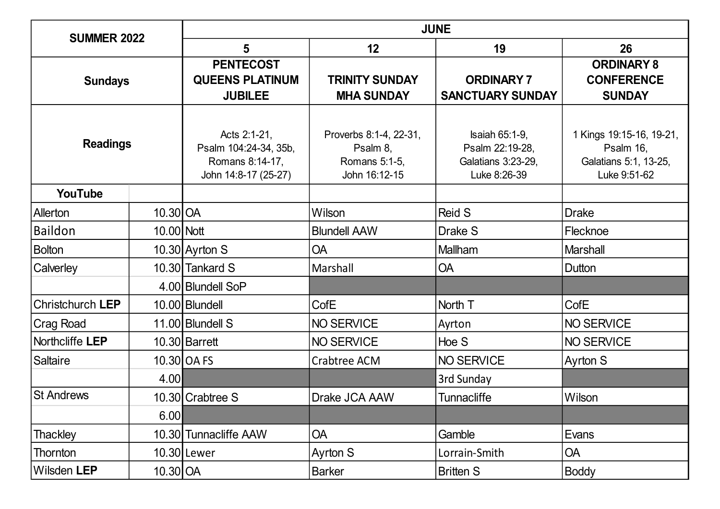| <b>SUMMER 2022</b> |            | <b>JUNE</b>                                                                      |                                                                      |                                                                                |                                                                                |  |
|--------------------|------------|----------------------------------------------------------------------------------|----------------------------------------------------------------------|--------------------------------------------------------------------------------|--------------------------------------------------------------------------------|--|
|                    |            | 5<br>12<br>19                                                                    |                                                                      |                                                                                | 26                                                                             |  |
| <b>Sundays</b>     |            | <b>PENTECOST</b><br><b>QUEENS PLATINUM</b><br><b>JUBILEE</b>                     | <b>TRINITY SUNDAY</b><br><b>MHA SUNDAY</b>                           | <b>ORDINARY 7</b><br><b>SANCTUARY SUNDAY</b>                                   | <b>ORDINARY 8</b><br><b>CONFERENCE</b><br><b>SUNDAY</b>                        |  |
| <b>Readings</b>    |            | Acts 2:1-21,<br>Psalm 104:24-34, 35b,<br>Romans 8:14-17,<br>John 14:8-17 (25-27) | Proverbs 8:1-4, 22-31,<br>Psalm 8,<br>Romans 5:1-5,<br>John 16:12-15 | <b>Isaiah 65:1-9,</b><br>Psalm 22:19-28,<br>Galatians 3:23-29,<br>Luke 8:26-39 | 1 Kings 19:15-16, 19-21,<br>Psalm 16,<br>Galatians 5:1, 13-25,<br>Luke 9:51-62 |  |
| YouTube            |            |                                                                                  |                                                                      |                                                                                |                                                                                |  |
| Allerton           | 10.30 OA   |                                                                                  | Wilson                                                               | <b>Reid S</b>                                                                  | <b>Drake</b>                                                                   |  |
| Baildon            | 10.00 Nott |                                                                                  | <b>Blundell AAW</b>                                                  | Drake S                                                                        | Flecknoe                                                                       |  |
| <b>Bolton</b>      |            | 10.30 Ayrton S                                                                   | <b>OA</b>                                                            | Mallham                                                                        | <b>Marshall</b>                                                                |  |
| <b>Calverley</b>   |            | 10.30 Tankard S                                                                  | Marshall                                                             | <b>OA</b>                                                                      | Dutton                                                                         |  |
|                    |            | 4.00 Blundell SoP                                                                |                                                                      |                                                                                |                                                                                |  |
| Christchurch LEP   |            | 10.00 Blundell                                                                   | CofE                                                                 | North T                                                                        | CofE                                                                           |  |
| Crag Road          |            | 11.00 Blundell S                                                                 | <b>NO SERVICE</b>                                                    | Ayrton                                                                         | NO SERVICE                                                                     |  |
| Northcliffe LEP    |            | 10.30 Barrett                                                                    | <b>NO SERVICE</b>                                                    | Hoe S                                                                          | NO SERVICE                                                                     |  |
| Saltaire           |            | 10.30 OA FS                                                                      | Crabtree ACM                                                         | NO SERVICE                                                                     | <b>Ayrton S</b>                                                                |  |
|                    | 4.00       |                                                                                  |                                                                      | 3rd Sunday                                                                     |                                                                                |  |
| <b>St Andrews</b>  |            | 10.30 Crabtree S                                                                 | Drake JCA AAW                                                        | <b>Tunnacliffe</b>                                                             | Wilson                                                                         |  |
|                    | 6.00       |                                                                                  |                                                                      |                                                                                |                                                                                |  |
| <b>Thackley</b>    |            | 10.30 Tunnacliffe AAW                                                            | <b>OA</b>                                                            | Gamble                                                                         | Evans                                                                          |  |
| <b>Thornton</b>    |            | 10.30 Lewer                                                                      | Ayrton S                                                             | Lorrain-Smith                                                                  | <b>OA</b>                                                                      |  |
| Wilsden LEP        | 10.30 OA   |                                                                                  | <b>Barker</b>                                                        | <b>Britten S</b>                                                               | <b>Boddy</b>                                                                   |  |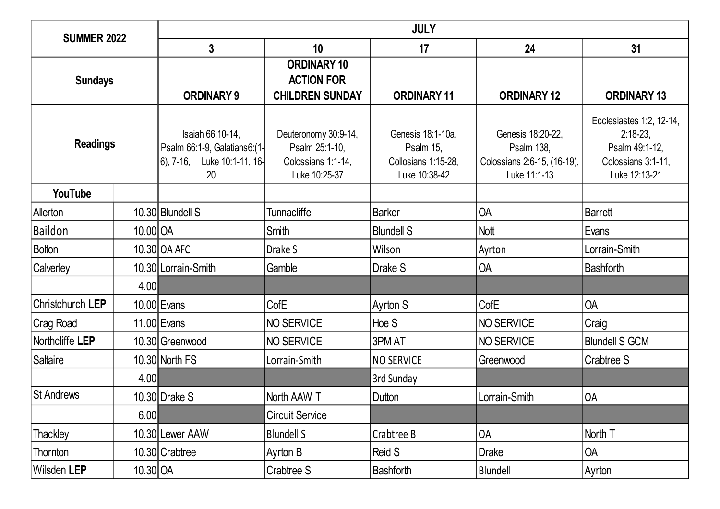| <b>SUMMER 2022</b> |          | <b>JULY</b>                                                                             |                                                                               |                                                                        |                                                                                       |                                                                                                  |  |  |
|--------------------|----------|-----------------------------------------------------------------------------------------|-------------------------------------------------------------------------------|------------------------------------------------------------------------|---------------------------------------------------------------------------------------|--------------------------------------------------------------------------------------------------|--|--|
|                    |          | $\mathbf 3$                                                                             | 10                                                                            | 17                                                                     | 24                                                                                    | 31                                                                                               |  |  |
| <b>Sundays</b>     |          | <b>ORDINARY 9</b>                                                                       | <b>ORDINARY 10</b><br><b>ACTION FOR</b><br><b>CHILDREN SUNDAY</b>             | <b>ORDINARY 11</b>                                                     | <b>ORDINARY 12</b>                                                                    | <b>ORDINARY 13</b>                                                                               |  |  |
| <b>Readings</b>    |          | Isaiah 66:10-14,<br>Psalm 66:1-9, Galatians6:(1-<br>$6$ , 7-16, Luke 10:1-11, 16-<br>20 | Deuteronomy 30:9-14,<br>Psalm 25:1-10,<br>Colossians 1:1-14,<br>Luke 10:25-37 | Genesis 18:1-10a,<br>Psalm 15,<br>Collosians 1:15-28,<br>Luke 10:38-42 | Genesis 18:20-22,<br><b>Psalm 138,</b><br>Colossians 2:6-15, (16-19),<br>Luke 11:1-13 | Ecclesiastes 1:2, 12-14,<br>$2:18-23$ ,<br>Psalm 49:1-12,<br>Colossians 3:1-11,<br>Luke 12:13-21 |  |  |
| YouTube            |          |                                                                                         |                                                                               |                                                                        |                                                                                       |                                                                                                  |  |  |
| Allerton           |          | 10.30 Blundell S                                                                        | <b>Tunnacliffe</b>                                                            | <b>Barker</b>                                                          | <b>OA</b>                                                                             | Barrett                                                                                          |  |  |
| Baildon            | 10.00 OA |                                                                                         | Smith                                                                         | <b>Blundell S</b>                                                      | Nott                                                                                  | Evans                                                                                            |  |  |
| <b>Bolton</b>      |          | 10.30 OA AFC                                                                            | Drake S                                                                       | Wilson                                                                 | Ayrton                                                                                | Lorrain-Smith                                                                                    |  |  |
| <b>Calverley</b>   |          | 10.30 Lorrain-Smith                                                                     | Gamble                                                                        | Drake S                                                                | <b>OA</b>                                                                             | <b>Bashforth</b>                                                                                 |  |  |
|                    | 4.00     |                                                                                         |                                                                               |                                                                        |                                                                                       |                                                                                                  |  |  |
| Christchurch LEP   |          | 10.00 Evans                                                                             | <b>CofE</b>                                                                   | Ayrton S                                                               | CofE                                                                                  | <b>OA</b>                                                                                        |  |  |
| Crag Road          |          | 11.00 Evans                                                                             | NO SERVICE                                                                    | Hoe S                                                                  | NO SERVICE                                                                            | Craig                                                                                            |  |  |
| Northcliffe LEP    |          | 10.30 Greenwood                                                                         | <b>NO SERVICE</b>                                                             | 3PM AT                                                                 | NO SERVICE                                                                            | <b>Blundell S GCM</b>                                                                            |  |  |
| Saltaire           |          | 10.30 North FS                                                                          | Lorrain-Smith                                                                 | <b>NO SERVICE</b>                                                      | Greenwood                                                                             | Crabtree S                                                                                       |  |  |
|                    | 4.00     |                                                                                         |                                                                               | 3rd Sunday                                                             |                                                                                       |                                                                                                  |  |  |
| <b>St Andrews</b>  |          | 10.30 Drake S                                                                           | North AAW T                                                                   | Dutton                                                                 | Lorrain-Smith                                                                         | <b>OA</b>                                                                                        |  |  |
|                    | 6.00     |                                                                                         | <b>Circuit Service</b>                                                        |                                                                        |                                                                                       |                                                                                                  |  |  |
| Thackley           |          | 10.30 Lewer AAW                                                                         | <b>Blundell S</b>                                                             | Crabtree B                                                             | <b>OA</b>                                                                             | North T                                                                                          |  |  |
| Thornton           |          | 10.30 Crabtree                                                                          | Ayrton B                                                                      | Reid S                                                                 | <b>Drake</b>                                                                          | <b>OA</b>                                                                                        |  |  |
| Wilsden LEP        | 10.30 OA |                                                                                         | Crabtree S                                                                    | <b>Bashforth</b>                                                       | Blundell                                                                              | Ayrton                                                                                           |  |  |